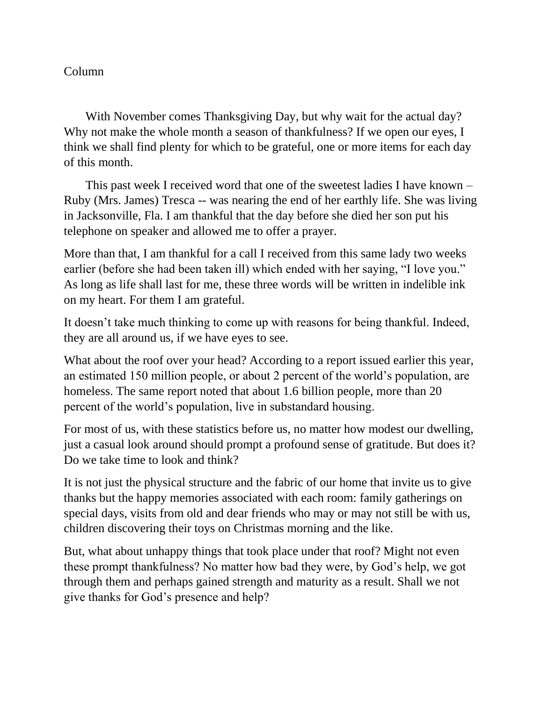## Column

 With November comes Thanksgiving Day, but why wait for the actual day? Why not make the whole month a season of thankfulness? If we open our eyes, I think we shall find plenty for which to be grateful, one or more items for each day of this month.

 This past week I received word that one of the sweetest ladies I have known – Ruby (Mrs. James) Tresca -- was nearing the end of her earthly life. She was living in Jacksonville, Fla. I am thankful that the day before she died her son put his telephone on speaker and allowed me to offer a prayer.

More than that, I am thankful for a call I received from this same lady two weeks earlier (before she had been taken ill) which ended with her saying, "I love you." As long as life shall last for me, these three words will be written in indelible ink on my heart. For them I am grateful.

It doesn't take much thinking to come up with reasons for being thankful. Indeed, they are all around us, if we have eyes to see.

What about the roof over your head? According to a report issued earlier this year, an estimated 150 million people, or about 2 percent of the world's population, are homeless. The same report noted that about 1.6 billion people, more than 20 percent of the world's population, live in substandard housing.

For most of us, with these statistics before us, no matter how modest our dwelling, just a casual look around should prompt a profound sense of gratitude. But does it? Do we take time to look and think?

It is not just the physical structure and the fabric of our home that invite us to give thanks but the happy memories associated with each room: family gatherings on special days, visits from old and dear friends who may or may not still be with us, children discovering their toys on Christmas morning and the like.

But, what about unhappy things that took place under that roof? Might not even these prompt thankfulness? No matter how bad they were, by God's help, we got through them and perhaps gained strength and maturity as a result. Shall we not give thanks for God's presence and help?